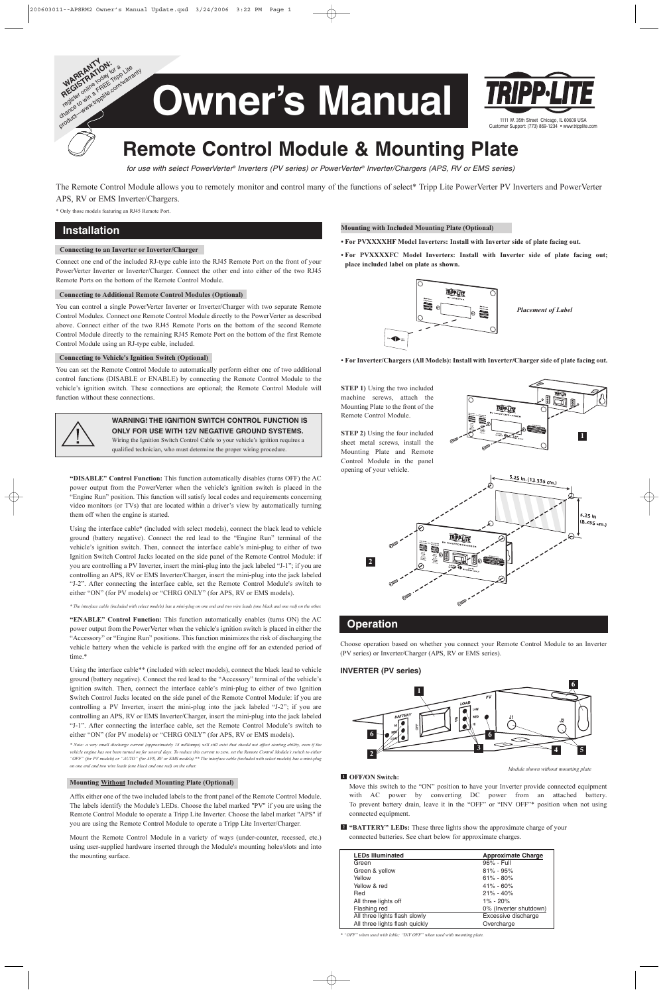## Connecting to an Inverter or Inverter/Charger

Connect one end of the included RJ-type cable into the RJ45 Remote Port on the front of your PowerVerter Inverter or Inverter/Charger. Connect the other end into either of the two RJ45 Remote Ports on the bottom of the Remote Control Module.

#### Connecting to Additional Remote Control Modules (Optional)

You can control a single PowerVerter Inverter or Inverter/Charger with two separate Remote Control Modules. Connect one Remote Control Module directly to the PowerVerter as described above. Connect either of the two RJ45 Remote Ports on the bottom of the second Remote Control Module directly to the remaining RJ45 Remote Port on the bottom of the first Remote Control Module using an RJ-type cable, included.

### Connecting to Vehicle's Ignition Switch (Optional)

You can set the Remote Control Module to automatically perform either one of two additional control functions (DISABLE or ENABLE) by connecting the Remote Control Module to the vehicle's ignition switch. These connections are optional; the Remote Control Module will function without these connections.



"DISABLE" Control Function: This function automatically disables (turns OFF) the AC power output from the PowerVerter when the vehicle's ignition switch is placed in the "Engine Run" position. This function will satisfy local codes and requirements concerning video monitors (or TVs) that are located within a driver's view by automatically turning them off when the engine is started.

Using the interface cable\* (included with select models), connect the black lead to vehicle ground (battery negative). Connect the red lead to the "Engine Run" terminal of the vehicle's ignition switch. Then, connect the interface cable's mini-plug to either of two Ignition Switch Control Jacks located on the side panel of the Remote Control Module: if you are controlling a PV Inverter, insert the mini-plug into the jack labeled "J-1"; if you are controlling an APS, RV or EMS Inverter/Charger, insert the mini-plug into the jack labeled "J-2". After connecting the interface cable, set the Remote Control Module's switch to either "ON" (for PV models) or "CHRG ONLY" (for APS, RV or EMS models).

\* The interface cable (included with select models) has a mini-plug on one end and two wire leads (one black and one red) on the other.

"ENABLE" Control Function: This function automatically enables (turns ON) the AC power output from the PowerVerter when the vehicle's ignition switch is placed in either the "Accessory" or "Engine Run" positions. This function minimizes the risk of discharging the vehicle battery when the vehicle is parked with the engine off for an extended period of time.\*

STEP 1) Using the two included machine screws, attach the Mounting Plate to the front of the Remote Control Module.

Using the interface cable\*\* (included with select models), connect the black lead to vehicle ground (battery negative). Connect the red lead to the "Accessory" terminal of the vehicle's ignition switch. Then, connect the interface cable's mini-plug to either of two Ignition Switch Control Jacks located on the side panel of the Remote Control Module: if you are controlling a PV Inverter, insert the mini-plug into the jack labeled "J-2"; if you are controlling an APS, RV or EMS Inverter/Charger, insert the mini-plug into the jack labeled "J-1". After connecting the interface cable, set the Remote Control Module's switch to either "ON" (for PV models) or "CHRG ONLY" (for APS, RV or EMS models).

> <sup>2</sup> "BATTERY" LEDs: These three lights show the approximate charge of your connected batteries. See chart below for approximate charges.

\* Note: a very small discharge current (approximately 18 milliamps) will still exist that should not affect starting ability, even if the vehicle engine has not been turned on for several days. To reduce this current to zero, set the Remote Control Module's switch to either "OFF" (for PV models) or "AUTO" (for APS, RV or EMS models).\*\* The interface cable (included with select models) has a mini-plug on one end and two wire leads (one black and one red) on the other.

#### Mounting Without Included Mounting Plate (Optional)

Affix either one of the two included labels to the front panel of the Remote Control Module. The labels identify the Module's LEDs. Choose the label marked "PV" if you are using the Remote Control Module to operate a Tripp Lite Inverter. Choose the label market "APS" if you are using the Remote Control Module to operate a Tripp Lite Inverter/Charger.

Mount the Remote Control Module in a variety of ways (under-counter, recessed, etc.) using user-supplied hardware inserted through the Module's mounting holes/slots and into the mounting surface.

# **Installation**

The Remote Control Module allows you to remotely monitor and control many of the functions of select\* Tripp Lite PowerVerter PV Inverters and PowerVerter APS, RV or EMS Inverter/Chargers.

\* Only those models featuring an RJ45 Remote Port.

**WARNING! THE IGNITION SWITCH CONTROL FUNCTION IS ONLY FOR USE WITH 12V NEGATIVE GROUND SYSTEMS.** Wiring the Ignition Switch Control Cable to your vehicle's ignition requires a qualified technician, who must determine the proper wiring procedure.

# **Operation**

#### Mounting with Included Mounting Plate (Optional)

- For PVXXXXHF Model Inverters: Install with Inverter side of plate facing out.
- For PVXXXXFC Model Inverters: Install with Inverter side of plate facing out; place included label on plate as shown.

• For Inverter/Chargers (All Models): Install with Inverter/Charger side of plate facing out.

STEP 2) Using the four included sheet metal screws, install the Mounting Plate and Remote Control Module in the panel opening of your vehicle.

Choose operation based on whether you connect your Remote Control Module to an Inverter (PV series) or Inverter/Charger (APS, RV or EMS series).

### **INVERTER (PV series)**

Move this switch to the "ON" position to have your Inverter provide connected equipment with AC power by converting DC power from an attached battery. To prevent battery drain, leave it in the "OFF" or "INV OFF"\* position when not using connected equipment.



| <b>LEDs Illuminated</b>        | <b>Approximate Charge</b> |
|--------------------------------|---------------------------|
| Green                          | 96% - Full                |
| Green & yellow                 | $81\% - 95\%$             |
| Yellow                         | $61\% - 80\%$             |
| Yellow & red                   | $41\% - 60\%$             |
| Red                            | $21\% - 40\%$             |
| All three lights off           | $1\% - 20\%$              |
| Flashing red                   | 0% (Inverter shutdown)    |
| All three lights flash slowly  | Excessive discharge       |
| All three lights flash quickly | Overcharge                |

\* "OFF" when used with lable; "INV OFF" when used with mounting plate.



Module shown without mounting plate

### **1** OFF/ON Switch:



for use with select PowerVerter® Inverters (PV series) or PowerVerter® Inverter/Chargers (APS, RV or EMS series)



Placement of Label